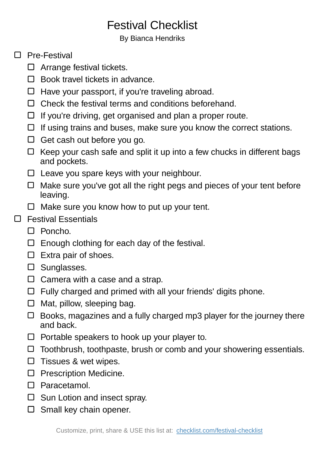## Festival Checklist

By Bianca Hendriks

## □ Pre-Festival

- $\Box$  Arrange festival tickets.
- $\Box$  Book travel tickets in advance.
- $\Box$  Have your passport, if you're traveling abroad.
- $\Box$  Check the festival terms and conditions beforehand.
- $\Box$  If you're driving, get organised and plan a proper route.
- $\Box$  If using trains and buses, make sure you know the correct stations.
- $\Box$  Get cash out before you go.
- $\Box$  Keep your cash safe and split it up into a few chucks in different bags and pockets.
- $\Box$  Leave you spare keys with your neighbour.
- $\Box$  Make sure you've got all the right pegs and pieces of your tent before leaving.
- $\Box$  Make sure you know how to put up your tent.

## □ Festival Essentials

- □ Poncho.
- $\Box$  Enough clothing for each day of the festival.
- $\square$  Extra pair of shoes.
- $\square$  Sunglasses.
- $\Box$  Camera with a case and a strap.
- $\Box$  Fully charged and primed with all your friends' digits phone.
- $\Box$  Mat, pillow, sleeping bag.
- $\Box$  Books, magazines and a fully charged mp3 player for the journey there and back.
- $\Box$  Portable speakers to hook up your player to.
- $\Box$  Toothbrush, toothpaste, brush or comb and your showering essentials.
- $\square$  Tissues & wet wipes.
- $\square$  Prescription Medicine.
- □ Paracetamol.
- $\square$  Sun Lotion and insect spray.
- $\Box$  Small key chain opener.